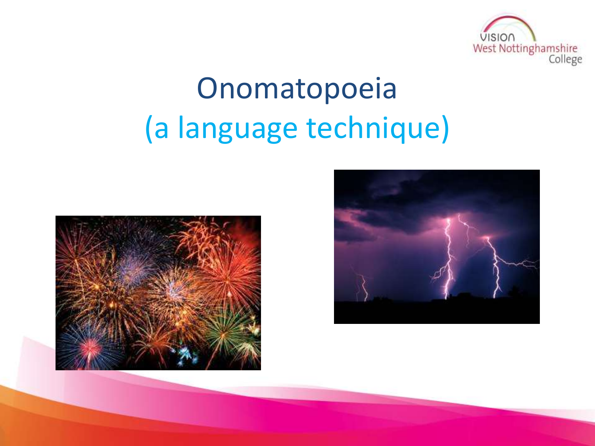

# Onomatopoeia (a language technique)



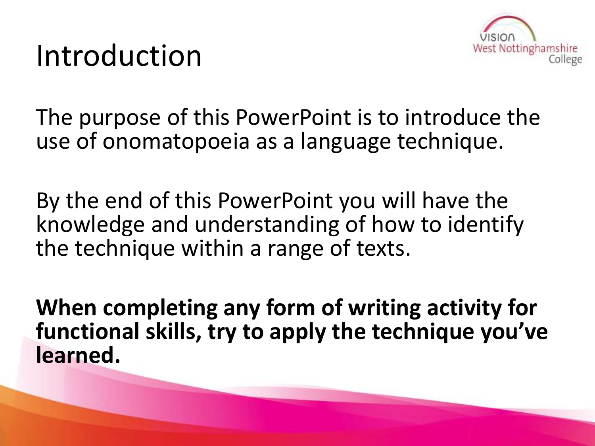### Introduction



The purpose of this PowerPoint is to introduce the use of onomatopoeia as a language technique.

By the end of this PowerPoint you will have the knowledge and understanding of how to identify the technique within a range of texts.

**When completing any form of writing activity for functional skills, try to apply the technique you've learned.**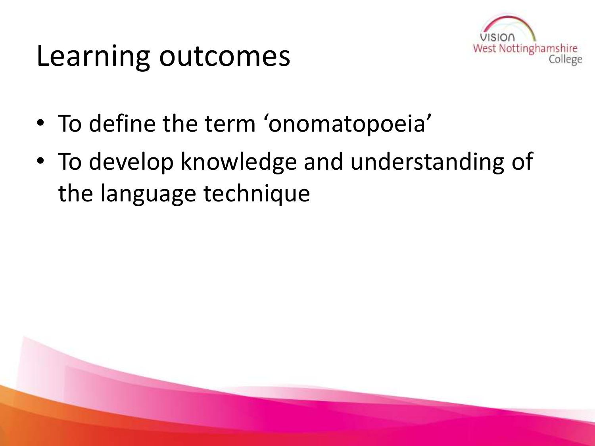### Learning outcomes



- To define the term 'onomatopoeia'
- To develop knowledge and understanding of the language technique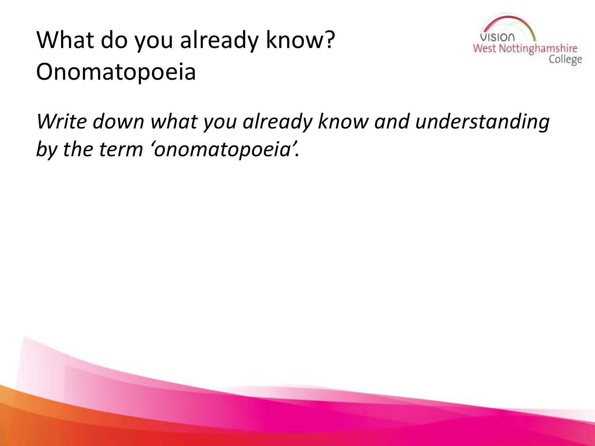#### What do you already know? Onomatopoeia



#### *Write down what you already know and understanding by the term 'onomatopoeia'.*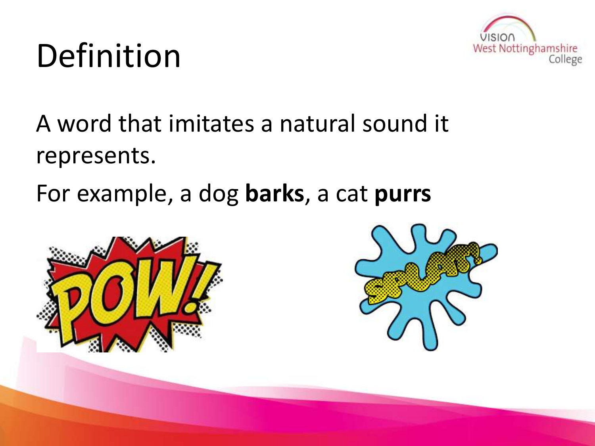# Definition



#### A word that imitates a natural sound it represents.

For example, a dog **barks**, a cat **purrs**



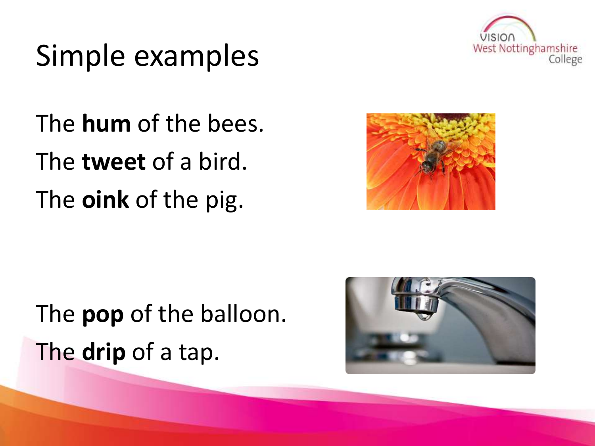

### Simple examples

The **hum** of the bees. The **tweet** of a bird. The **oink** of the pig.



### The **pop** of the balloon. The **drip** of a tap.

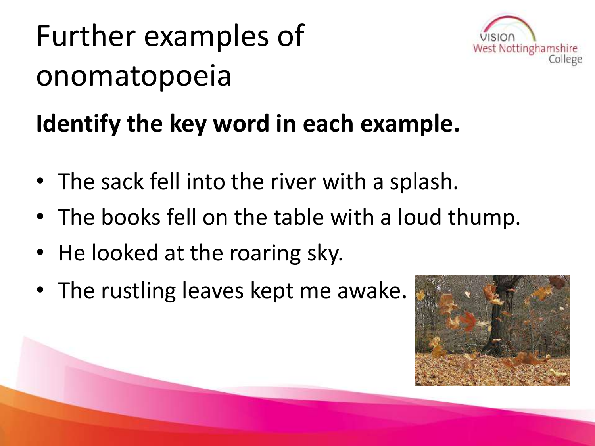# Further examples of onomatopoeia



#### **Identify the key word in each example.**

- The sack fell into the river with a splash.
- The books fell on the table with a loud thump.
- He looked at the roaring sky.
- The rustling leaves kept me awake.

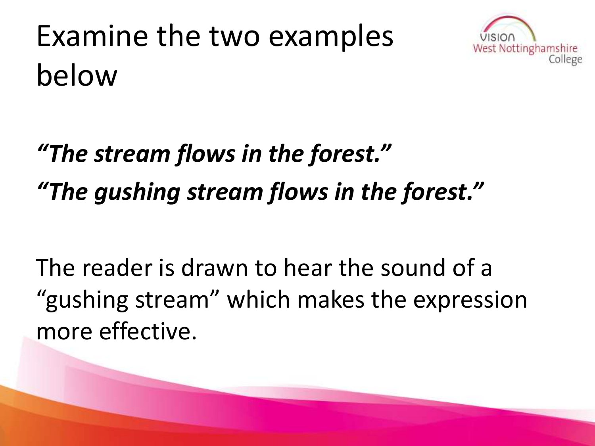



### *"The stream flows in the forest." "The gushing stream flows in the forest."*

The reader is drawn to hear the sound of a "gushing stream" which makes the expression more effective.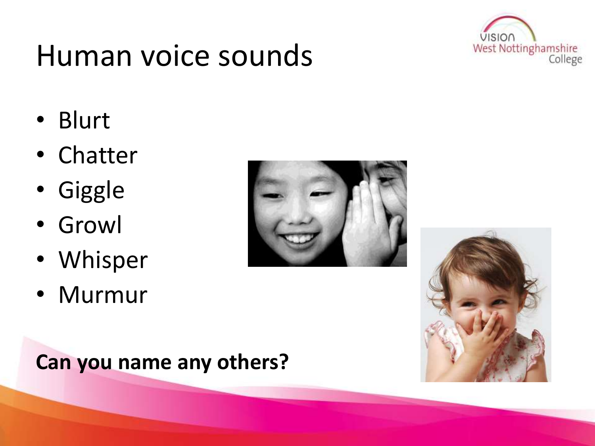

### Human voice sounds

- Blurt
- Chatter
- Giggle
- Growl
- Whisper
- Murmur





#### **Can you name any others?**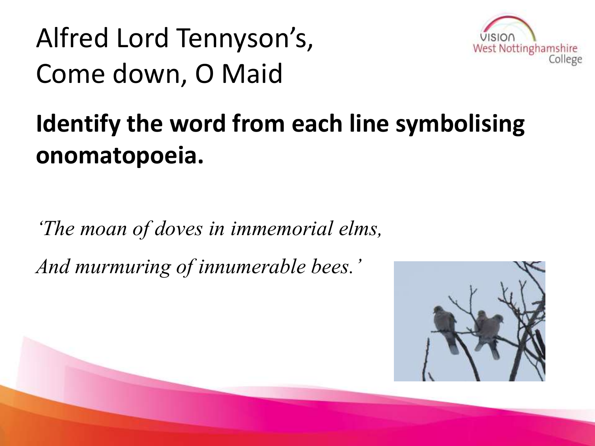### Alfred Lord Tennyson's, Come down, O Maid



#### **Identify the word from each line symbolising onomatopoeia.**

*'The moan of doves in immemorial elms, And murmuring of innumerable bees.'*

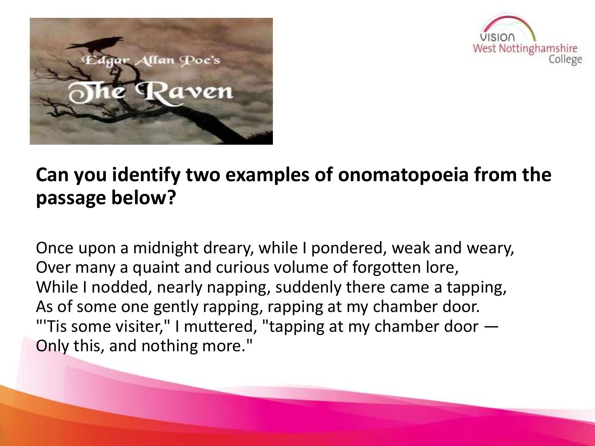



#### **Can you identify two examples of onomatopoeia from the passage below?**

Once upon a midnight dreary, while I pondered, weak and weary, Over many a quaint and curious volume of forgotten lore, While I nodded, nearly napping, suddenly there came a tapping, As of some one gently rapping, rapping at my chamber door. "'Tis some visiter," I muttered, "tapping at my chamber door — Only this, and nothing more."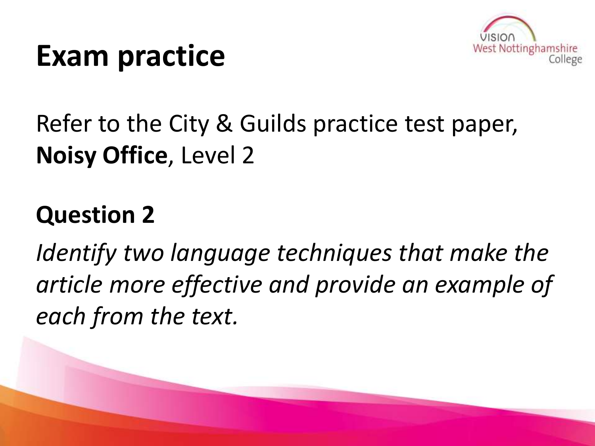



#### Refer to the City & Guilds practice test paper, **Noisy Office**, Level 2

#### **Question 2**

*Identify two language techniques that make the article more effective and provide an example of each from the text.*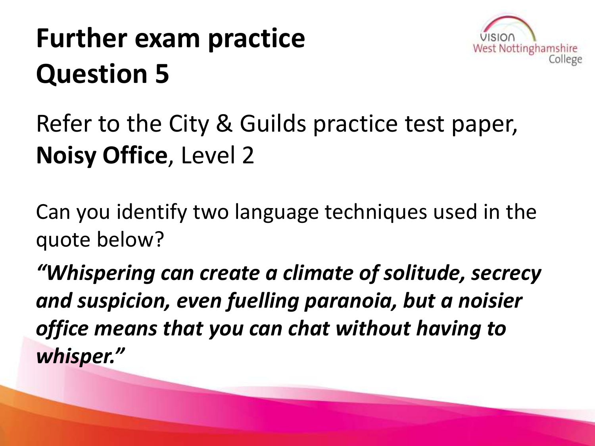### **Further exam practice Question 5**



#### Refer to the City & Guilds practice test paper, **Noisy Office**, Level 2

Can you identify two language techniques used in the quote below?

*"Whispering can create a climate of solitude, secrecy and suspicion, even fuelling paranoia, but a noisier office means that you can chat without having to whisper."*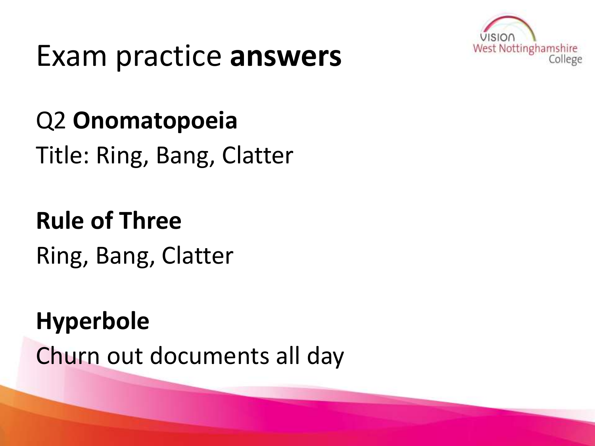

### Exam practice **answers**

#### Q2 **Onomatopoeia**

Title: Ring, Bang, Clatter

### **Rule of Three** Ring, Bang, Clatter

#### **Hyperbole**

Churn out documents all day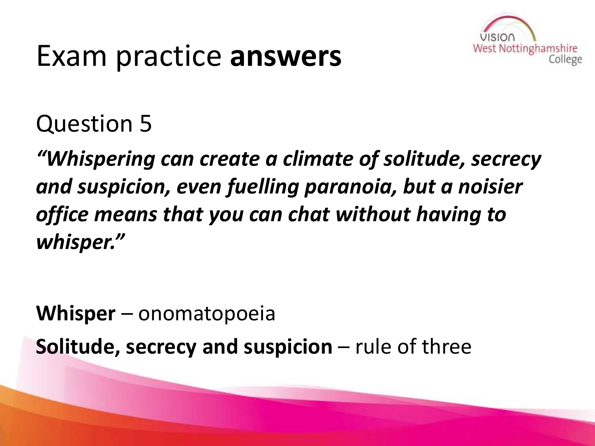### Exam practice **answers**



#### Question 5

*"Whispering can create a climate of solitude, secrecy and suspicion, even fuelling paranoia, but a noisier office means that you can chat without having to whisper."*

**Whisper** – onomatopoeia

**Solitude, secrecy and suspicion** – rule of three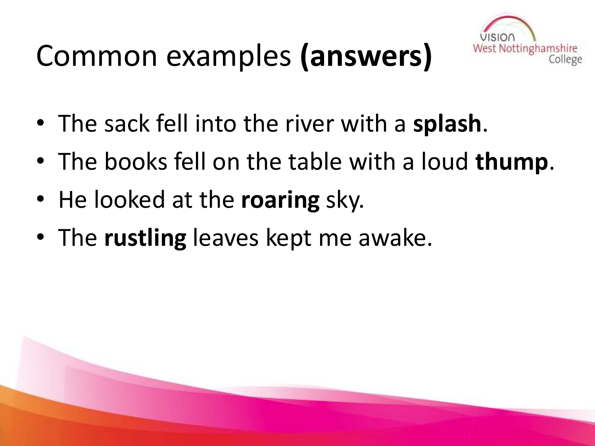## Common examples **(answers)**



- The sack fell into the river with a **splash**.
- The books fell on the table with a loud **thump**.
- He looked at the **roaring** sky.
- The **rustling** leaves kept me awake.